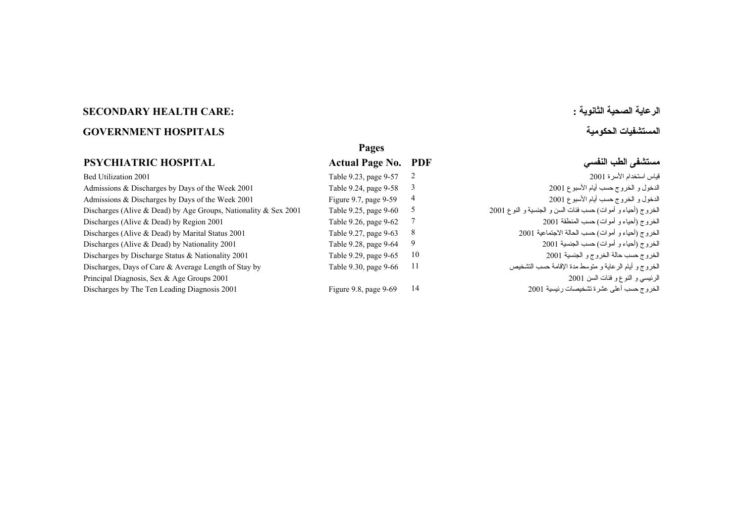## **الرعاية الصحية الثانوية : :CARE HEALTH SECONDARY المستشفيات الحكومية HOSPITALS GOVERNMENT**

## **PSYCHIATRIC HOSPITAL**

 Table 9.23, page 9-57 [Bed Utilization 2001 2 2001](#page-1-0) الأسرة استخدام قياس  [Table 9.24, page 9-58](#page-2-0) Admissions & Discharges by Days of the Week 2001 3 2001 الأسبوع أيام حسب الخروج <sup>و</sup> الدخول [Figure 9.7, page 9-59](#page-3-0) Admissions & Discharges by Days of the Week 2001 4 2001 الأسبوع أيام حسب الخروج <sup>و</sup> الدخول الخروج (أحياء و أموات) حسب فئات السن و الجنسية و النوع 2001 2001 2001 2001 Discharges (Alive & Dead) by Age Groups, Nationality & Sex 2001 7able 9.25, page 9-60  [Table 9.26, page 9-62](#page-6-0) Discharges (Alive & Dead) by Region 2001 7 2001 المنطقة حسب) أموات <sup>و</sup> أحياء (الخروج  [Table 9.27, page 9-63](#page-7-0) Discharges (Alive & Dead) by Marital Status 2001 8 2001 الاجتماعية الحالة حسب) أموات <sup>و</sup> أحياء (الخروج  [Table 9.28, page 9-64](#page-8-0) Discharges (Alive & Dead) by Nationality 2001 9 2001 الجنسية حسب) أموات <sup>و</sup> أحياء (الخروج  [Table 9.29, page 9-65](#page-9-0) Discharges by Discharge Status & Nationality 2001 10 2001 الجنسية <sup>و</sup> الخروج حالة حسب الخروج Table 9.30, page 9-66 Discharges, Days of Care & Average Length of Stay by 11 التشخيص حسب الإقامة مدة متوسط <sup>و</sup> الرعاية أيام <sup>و</sup> الخروج الرئيسي <sup>و</sup> النوع <sup>و</sup> فئات السن [2001 2001 Groups Age & Sex ,Diagnosis Principal](#page-10-0)  [Figure 9.8, page 9-69](#page-13-0) Discharges by The Ten Leading Diagnosis 2001 14 2001 رئيسية تشخيصات عشرة أعلى حسب الخروج

**Pages Actual Page No. PDF النفسي الطب مستشفى**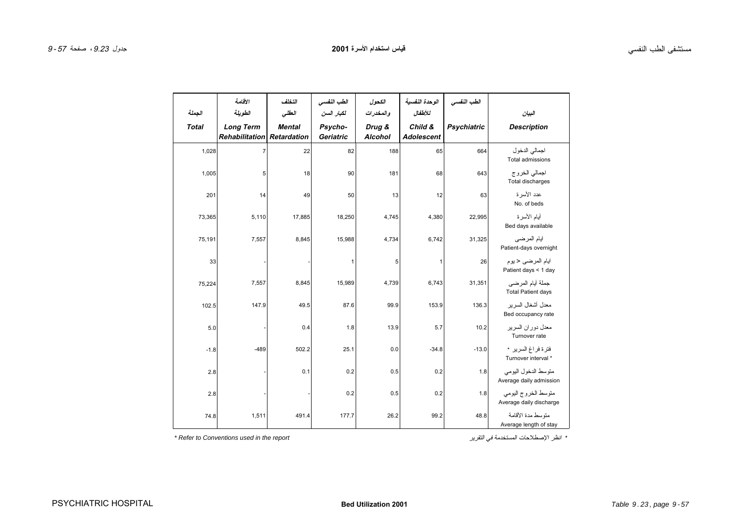<span id="page-1-0"></span>

| الجملة<br><b>Total</b> | الاقلصة<br>الطويلة<br><b>Long Term</b><br><b>Rehabilitation</b> | التخلف<br>العقلى<br><b>Mental</b><br>Retardation | الطب النفسي<br>لكبار السن<br>Psycho-<br>Geriatric | الكحول<br>والمخدرات<br>Drug &<br><b>Alcohol</b> | الوحدة النفسية<br>للأطفال<br>Child &<br><b>Adolescent</b> | الطب النفسي<br><b>Psychiatric</b> | البيان<br><b>Description</b>                   |
|------------------------|-----------------------------------------------------------------|--------------------------------------------------|---------------------------------------------------|-------------------------------------------------|-----------------------------------------------------------|-----------------------------------|------------------------------------------------|
| 1,028                  | 7                                                               | 22                                               | 82                                                | 188                                             | 65                                                        | 664                               | اجمالي الدخول<br>Total admissions              |
| 1,005                  | 5                                                               | 18                                               | 90                                                | 181                                             | 68                                                        | 643                               | اجمالي الخروج<br>Total discharges              |
| 201                    | 14                                                              | 49                                               | 50                                                | 13                                              | 12                                                        | 63                                | عدد الأسر ة<br>No. of beds                     |
| 73,365                 | 5,110                                                           | 17,885                                           | 18,250                                            | 4,745                                           | 4,380                                                     | 22,995                            | أيام الأسرة<br>Bed days available              |
| 75,191                 | 7,557                                                           | 8,845                                            | 15,988                                            | 4,734                                           | 6,742                                                     | 31,325                            | أيام المرضى<br>Patient-days overnight          |
| 33                     |                                                                 |                                                  | $\mathbf{1}$                                      | 5                                               | $\mathbf{1}$                                              | 26                                | ابام المرضى حبوم<br>Patient days < 1 day       |
| 75,224                 | 7,557                                                           | 8,845                                            | 15,989                                            | 4,739                                           | 6,743                                                     | 31,351                            | جملة أيام المرضي<br><b>Total Patient days</b>  |
| 102.5                  | 147.9                                                           | 49.5                                             | 87.6                                              | 99.9                                            | 153.9                                                     | 136.3                             | معدل أشغال السر بر<br>Bed occupancy rate       |
| 5.0                    |                                                                 | 0.4                                              | 1.8                                               | 13.9                                            | 5.7                                                       | 10.2                              | معدل دور ان السر پر<br>Turnover rate           |
| $-1.8$                 | $-489$                                                          | 502.2                                            | 25.1                                              | 0.0                                             | $-34.8$                                                   | $-13.0$                           | فترة فراغ السرير *<br>Turnover interval *      |
| 2.8                    |                                                                 | 0.1                                              | 0.2                                               | 0.5                                             | 0.2                                                       | 1.8                               | متوسط الدخول اليومى<br>Average daily admission |
| 2.8                    |                                                                 |                                                  | 0.2                                               | 0.5                                             | 0.2                                                       | 1.8                               | متوسط الخروج اليومي<br>Average daily discharge |
| 74.8                   | 1,511                                                           | 491.4                                            | 177.7                                             | 26.2                                            | 99.2                                                      | 48.8                              | متوسط مدة الأقامة<br>Average length of stay    |

*\* Refer to Conventions used in the report* التقرير في المستخدمة الإصطلاحات انظر\*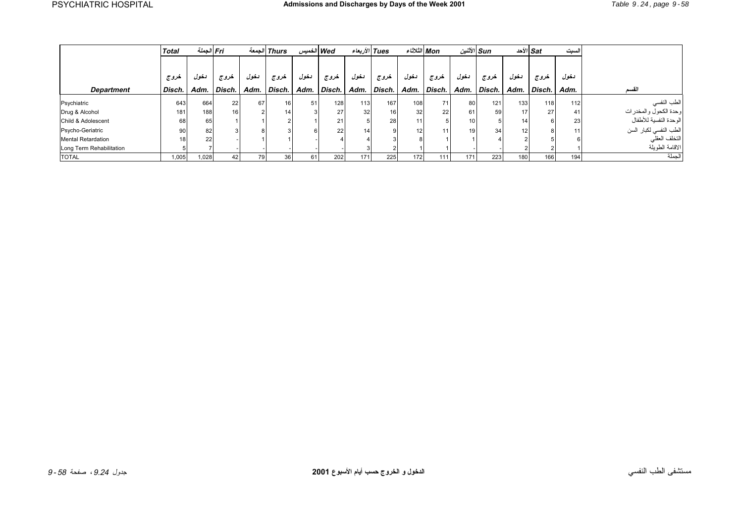<span id="page-2-0"></span>

|                           | <b>Total</b>    | Fri الجملة |        | الحمعه | <b>Thurs</b>    | Wed الخميس |                  |      | Tues الأربعاء   |                 | Mon الثلاثاء |      | الأثنين Sun |                 | الأحد /ˈSat | السبت |                        |
|---------------------------|-----------------|------------|--------|--------|-----------------|------------|------------------|------|-----------------|-----------------|--------------|------|-------------|-----------------|-------------|-------|------------------------|
|                           |                 |            |        |        |                 |            |                  |      |                 |                 |              |      |             |                 |             |       |                        |
|                           | خروج            | دخول       | خروج   | دخول   | خروج            | دخول       | خروج             | دخول | خروج            | دخول            | خروج         | دخول | خروج        | دخول            | خروج        | دخول  |                        |
| <b>Department</b>         | Disch.          | Adm.       | Disch. | Adm.   | Disch.          | Adm.       | Disch.           |      | Adm. Disch.     | Adm.            | Disch.       |      | Adm. Disch. | Adm.            | Disch.      | Adm.  | القسد                  |
| Psychiatric               | 643             | 664        | 221    | 67     | 16              | 51         | 128 <sub>1</sub> | 113  | 167             | 108             | 71           | 80   | 121         | 133             | 118         | 112   | الطب النفسي            |
| Drug & Alcohol            | 181             | 188        | 16     |        | 14 <sub>1</sub> |            | 27               | 32   | 16 <sub>1</sub> | 32 <sub>1</sub> | 22           | 61   | 59          | 17              | 27          | 41    | وحدة الكحول والمخدرات  |
| Child & Adolescent        | 68              | 65         |        |        |                 |            | 21               |      | 28              |                 |              |      |             | 14 <sub>1</sub> |             | 23    | الوحدة النفسية للأطفال |
| Psycho-Geriatric          | 90              | 82         |        |        |                 |            | 22               | 14   |                 | 12              |              |      | 34          | 12 <sub>1</sub> |             | 11    | الطب النفسي لكبار السن |
| <b>Mental Retardation</b> | 18 <sub>1</sub> | 22         |        |        |                 |            |                  |      |                 |                 |              |      |             |                 |             |       | التخلف العقلي          |
| Long Term Rehabilitation  |                 |            |        |        |                 |            |                  |      |                 |                 |              |      |             |                 |             |       | الاقامة الطويلة        |
| <b>TOTAL</b>              | 1,005           | 1,028      | 42     | 79     | 36 <sub>1</sub> | 61         | 202              | 171  | 225             | 172             | 111          | 171  | 223         | 180             | 166         | 194   | لجملة                  |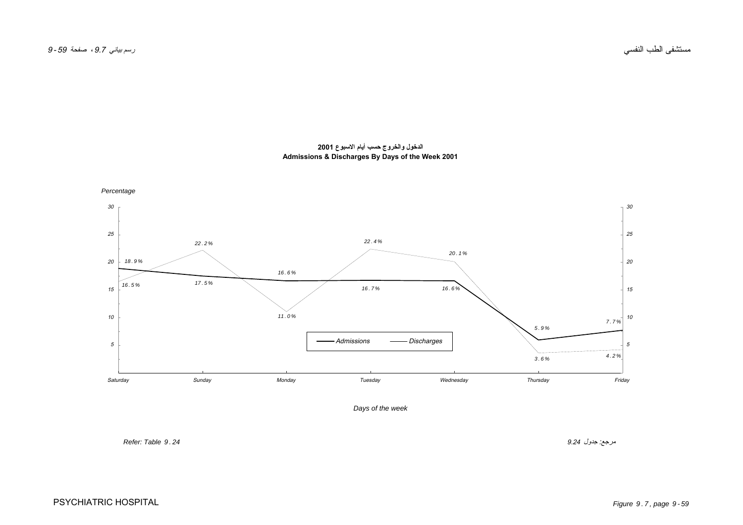<span id="page-3-0"></span>

**الدخول والخروج حسب أيام الاسبوع <sup>2001</sup> Admissions & Discharges By Days of the Week 2001**

*Days of the week*

مرجع: جدول 9.24 *<sup>24</sup> . 9 Table :Refer*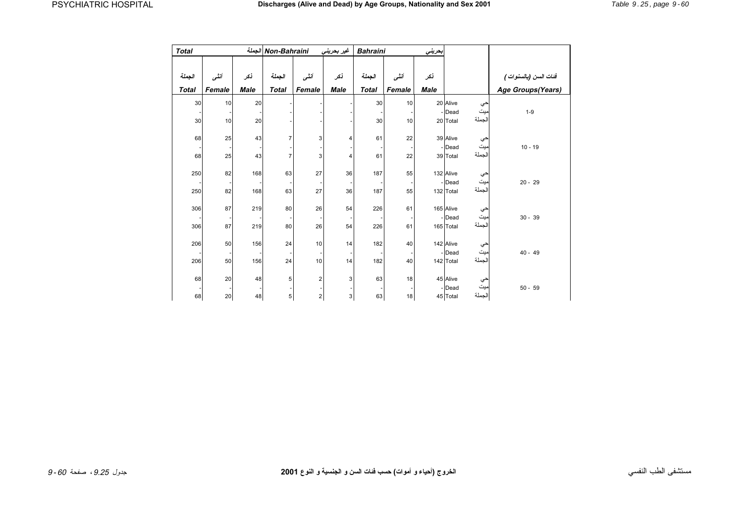<span id="page-4-0"></span>

| <b>Total</b> |        |             | Non-Bahraini الجملة |                         | غير بحريني  | <b>Bahraini</b> |        | بحرينى      |                     |           |                       |
|--------------|--------|-------------|---------------------|-------------------------|-------------|-----------------|--------|-------------|---------------------|-----------|-----------------------|
|              |        |             |                     |                         |             |                 |        |             |                     |           |                       |
| الجملة       | أننسى  | أنكر        | الجملة              | أننسى                   | نكر         | الجملة          | أننسى  | نکر         |                     |           | فنات السن (بالسنوات ) |
| <b>Total</b> | Female | <b>Male</b> | <b>Total</b>        | Female                  | <b>Male</b> | <b>Total</b>    | Female | <b>Male</b> |                     |           | Age Groups(Years)     |
| 30           | 10     | 20          |                     |                         |             | 30              | 10     |             | 20 Alive            | حي        |                       |
|              |        |             |                     |                         |             |                 |        |             | Dead                | ميت       | $1 - 9$               |
| 30           | 10     | 20          |                     |                         |             | 30              | 10     |             | 20 Total            | الجملة    |                       |
| 68           | 25     | 43          | 7                   | 3                       | 4           | 61              | 22     |             | 39 Alive            |           |                       |
|              |        |             |                     |                         |             |                 |        |             | - Dead              | حي<br>میت | $10 - 19$             |
| 68           | 25     | 43          | 7                   | 3                       | 4           | 61              | 22     |             | 39 Total            | الجملة    |                       |
|              |        |             |                     |                         |             |                 |        |             |                     |           |                       |
| 250          | 82     | 168         | 63                  | 27                      | 36          | 187             | 55     |             | 132 Alive           | حي<br>ميٽ |                       |
| 250          | 82     | 168         | 63                  | 27                      | 36          | 187             | 55     |             | - Dead<br>132 Total | الجملة    | $20 - 29$             |
|              |        |             |                     |                         |             |                 |        |             |                     |           |                       |
| 306          | 87     | 219         | 80                  | 26                      | 54          | 226             | 61     |             | 165 Alive           |           |                       |
|              |        |             |                     |                         |             |                 |        |             | Dead                | حي<br>ميٽ | $30 - 39$             |
| 306          | 87     | 219         | 80                  | 26                      | 54          | 226             | 61     |             | 165 Total           | الجملة    |                       |
| 206          | 50     | 156         | 24                  | 10                      | 14          | 182             | 40     |             |                     |           |                       |
|              |        |             |                     |                         |             |                 |        |             | 142 Alive<br>Dead   | حي<br>میت | $40 - 49$             |
| 206          | 50     | 156         | 24                  | 10                      | 14          | 182             | 40     |             | 142 Total           | الجملة    |                       |
|              |        |             |                     |                         |             |                 |        |             |                     |           |                       |
| 68           | 20     | 48          | 5                   | $\overline{\mathbf{c}}$ | 3           | 63              | 18     |             | 45 Alive            | حي        |                       |
|              |        |             |                     |                         |             |                 |        |             | Dead                | ميت       | $50 - 59$             |
| 68           | 20     | 48          | 5                   | 2                       | 3           | 63              | 18     |             | 45 Total            | الجملة    |                       |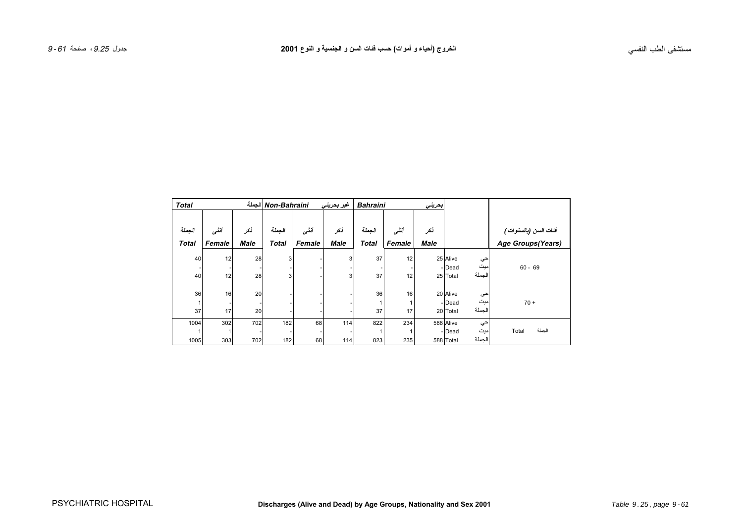| <b>Total</b> |        |             | Non-Bahraini الجملة |        | غير بحريني     | <b>Bahraini</b> |        | ابحريني     |           |        |                       |
|--------------|--------|-------------|---------------------|--------|----------------|-----------------|--------|-------------|-----------|--------|-----------------------|
| الجملة       | أننسى  | نكر         | الجملة              | أننسى  | نكر            | الجملة          | أننسى  | نكر         |           |        | فنات السن (بالسنوات ) |
| <b>Total</b> | Female | <b>Male</b> | <b>Total</b>        | Female | <b>Male</b>    | <b>Total</b>    | Female | <b>Male</b> |           |        | Age Groups(Years)     |
| 40           | 12     | 28          | 3                   |        | $\overline{3}$ | 37              | 12     |             | 25 Alive  | حي     |                       |
|              |        |             |                     |        |                |                 |        |             | - Dead    | ميت    | $60 - 69$             |
| 40           | 12     | 28          | 3                   |        | 3              | 37              | 12     |             | 25 Total  | الجملة |                       |
|              |        |             |                     |        |                |                 |        |             |           |        |                       |
| 36           | 16     | 20          |                     |        |                | 36              | 16     |             | 20 Alive  | حي     |                       |
| 1            |        |             |                     |        |                |                 |        |             | - Dead    | ميت    | $70 +$                |
| 37           | 17     | 20          |                     |        |                | 37              | 17     |             | 20 Total  | الجملة |                       |
| 1004         | 302    | 702         | 182                 | 68     | 114            | 822             | 234    |             | 588 Alive | حي     |                       |
| 1            |        |             |                     |        |                |                 |        |             | - Dead    | ميت    | الجملة<br>Total       |
| 1005         | 303    | 702         | 182                 | 68     | 114            | 823             | 235    |             | 588 Total | الجملة |                       |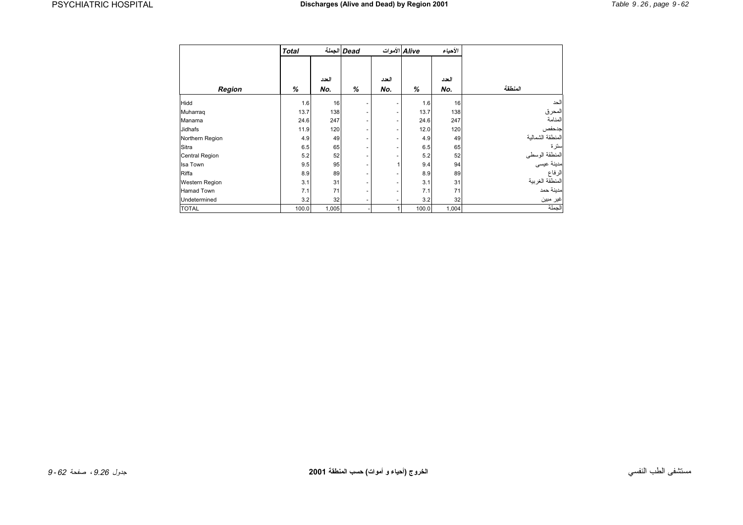<span id="page-6-0"></span>

|                       | <b>Total</b> |       | Dead الجملة              | Alive الأموات            |       | الأحياء |                  |
|-----------------------|--------------|-------|--------------------------|--------------------------|-------|---------|------------------|
|                       |              | العدد |                          | العدد                    |       | العدد   |                  |
| Region                | %            | No.   | %                        | No.                      | %     | No.     | المنطقة          |
| Hidd                  | 1.6          | 16    | $\overline{\phantom{a}}$ | ۰                        | 1.6   | 16      | الحد             |
| Muharraq              | 13.7         | 138   | $\overline{\phantom{a}}$ | ٠                        | 13.7  | 138     | المحرق           |
| Manama                | 24.6         | 247   | $\overline{\phantom{a}}$ | ٠                        | 24.6  | 247     | المنامة          |
| Jidhafs               | 11.9         | 120   | $\overline{\phantom{a}}$ | ٠                        | 12.0  | 120     | جدحفص            |
| Northern Region       | 4.9          | 49    | $\overline{\phantom{a}}$ | $\overline{\phantom{m}}$ | 4.9   | 49      | المنطقة الشمالية |
| Sitra                 | 6.5          | 65    | $\overline{\phantom{a}}$ | $\overline{\phantom{m}}$ | 6.5   | 65      | سترة             |
| <b>Central Region</b> | 5.2          | 52    | $\overline{\phantom{a}}$ | $\overline{\phantom{m}}$ | 5.2   | 52      | المنطقة الوسطى   |
| Isa Town              | 9.5          | 95    | $\overline{\phantom{a}}$ | $\mathbf{1}$             | 9.4   | 94      | مدينة عيسى       |
| Riffa                 | 8.9          | 89    | $\overline{\phantom{a}}$ | $\overline{\phantom{m}}$ | 8.9   | 89      | الرفاع           |
| Western Region        | 3.1          | 31    | $\overline{\phantom{a}}$ | ٠                        | 3.1   | 31      | المنطقة الغربية  |
| Hamad Town            | 7.1          | 71    | $\overline{\phantom{a}}$ | ۰                        | 7.1   | 71      | مدينة حمد        |
| Undetermined          | 3.2          | 32    | ۰                        | $\overline{\phantom{a}}$ | 3.2   | 32      | غير مبين         |
| <b>TOTAL</b>          | 100.0        | 1,005 |                          | 1                        | 100.0 | 1,004   | الجملة           |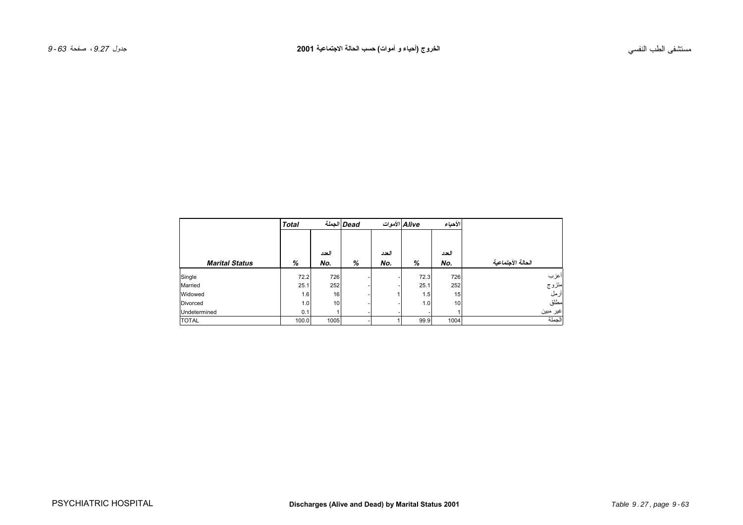<span id="page-7-0"></span>

|                       | <b>Total</b> |       | Dead الجملة | Alive الأموات |      | الأحياء |                   |
|-----------------------|--------------|-------|-------------|---------------|------|---------|-------------------|
|                       |              |       |             |               |      |         |                   |
|                       |              | العدد |             | العدد         |      | العدد   |                   |
| <b>Marital Status</b> | %            | No.   | %           | No.           | %    | No.     | الحالة الأجتماعية |
| Single                | 72.2         | 726   |             |               | 72.3 | 726     | أعزب              |
| Married               | 25.1         | 252   |             |               | 25.1 | 252     | متزوج             |
| Widowed               | 1.6          | 16    |             |               | 1.5  | 15      | أرمل              |
| Divorced              | 1.0          | 10    |             |               | 1.0  | 10      | مطلق              |
| Undetermined          | 0.1          |       |             |               |      |         | غير مبين          |
| <b>TOTAL</b>          | 100.0        | 1005  |             |               | 99.9 | 1004    | الحملة            |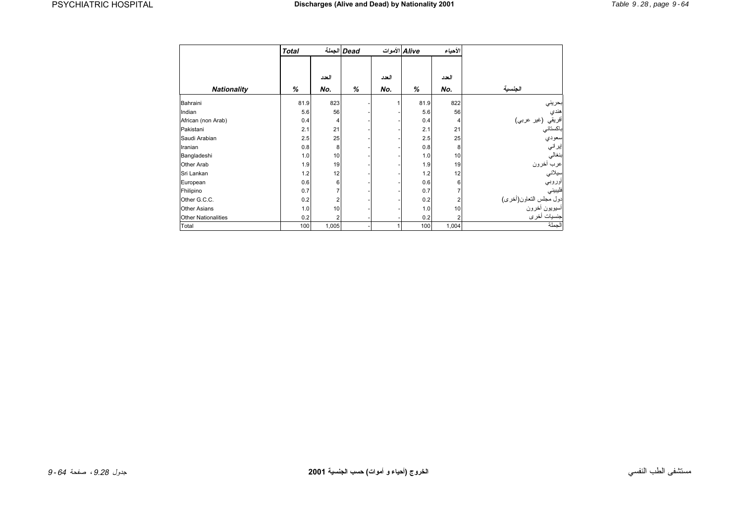<span id="page-8-0"></span>

|                            | <b>Total</b> |       | Dead الجملة |       | Alive الأموات | الأحياء        |                                                 |
|----------------------------|--------------|-------|-------------|-------|---------------|----------------|-------------------------------------------------|
|                            |              |       |             |       |               |                |                                                 |
|                            |              | العدد |             | العدد |               | العدد          |                                                 |
| <b>Nationality</b>         | %            | No.   | %           | No.   | %             | No.            | الجنسبة                                         |
| Bahraini                   | 81.9         | 823   |             | 1     | 81.9          | 822            |                                                 |
| Indian                     | 5.6          | 56    |             |       | 5.6           | 56             |                                                 |
| African (non Arab)         | 0.4          | 4     |             |       | 0.4           | 4              |                                                 |
| Pakistani                  | 2.1          | 21    |             |       | 2.1           | 21             | بحريني<br>هندي<br>أفريقي (غير عربي)<br>باكستاني |
| Saudi Arabian              | 2.5          | 25    |             |       | 2.5           | 25             | سعودي                                           |
| Iranian                    | 0.8          | 8     |             |       | 0.8           | 8              | اير اني                                         |
| Bangladeshi                | 1.0          | 10    |             |       | 1.0           | 10             | بنغالي                                          |
| Other Arab                 | 1.9          | 19    |             |       | 1.9           | 19             | عرب أخرون                                       |
| Sri Lankan                 | 1.2          | 12    |             |       | 1.2           | 12             | سيلاني                                          |
| European                   | 0.6          | 6     |             |       | 0.6           | 6              | أوروبي                                          |
| Fhilipino                  | 0.7          |       |             |       | 0.7           | 7              | فليبيني                                         |
| Other G.C.C.               | 0.2          | 2     |             |       | 0.2           | 2              |                                                 |
| <b>Other Asians</b>        | 1.0          | 10    |             |       | 1.0           | 10             | دول مجلس النعاون(أخرى)<br>اسيويون أخرون         |
| <b>Other Nationalities</b> | 0.2          | 2     |             |       | 0.2           | $\overline{2}$ | جنسيات أخرى                                     |
| Total                      | 100          | 1,005 |             | 1     | 100           | 1,004          | الجملة                                          |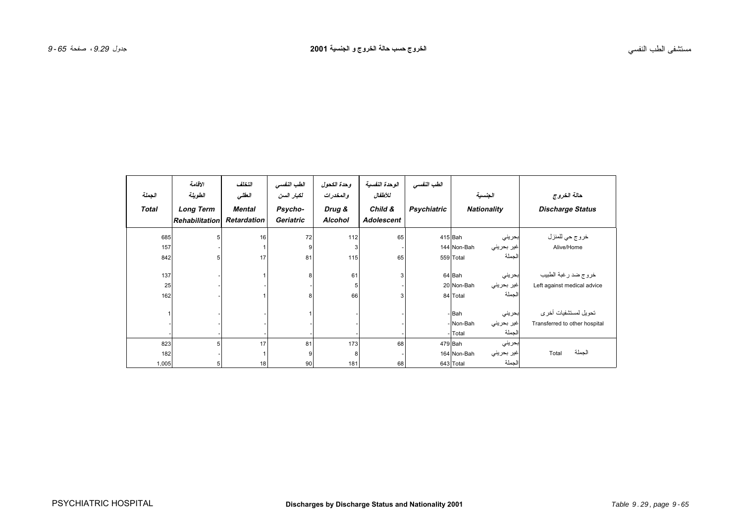<span id="page-9-0"></span>

| الجملة              | الاقامة<br>الطويلة                        | التخلف<br>العقلى             | الطب النفسى<br>لكبار السن | وحدة الكحول<br>والمخدرات | الوحدة النفسية<br>للأطفال    | الطب النفسى        | الجنسية                                                               | حالة الخروج                                            |
|---------------------|-------------------------------------------|------------------------------|---------------------------|--------------------------|------------------------------|--------------------|-----------------------------------------------------------------------|--------------------------------------------------------|
| <b>Total</b>        | <b>Long Term</b><br><b>Rehabilitation</b> | Mental<br><b>Retardation</b> | Psycho-<br>Geriatric      | Drug &<br><b>Alcohol</b> | Child &<br><b>Adolescent</b> | <b>Psychiatric</b> | <b>Nationality</b>                                                    | <b>Discharge Status</b>                                |
| 685<br>157<br>842   | 5<br>5                                    | 16<br>17                     | 72<br>9<br>81             | 112<br>115               | 65<br>65                     |                    | 415 Bah<br>بحريني<br>غیر بحرینی<br>144 Non-Bah<br>لجملة<br>559 Total  | خر و ج حي للمنز ل<br>Alive/Home                        |
| 137<br>25<br>162    |                                           |                              |                           | 61<br>66                 |                              |                    | 64 Bah<br>بحريني<br>20 Non-Bah<br> غير بحريني<br>لجملة<br>84 Total    | خروج ضد رغبة الطبيب<br>Left against medical advice     |
|                     |                                           |                              |                           |                          |                              |                    | - Bah<br>بحريني<br>- Non-Bah<br>غیر بحرینی<br>الجملة<br>- Total       | تحویل لمستشفیات أخر ی<br>Transferred to other hospital |
| 823<br>182<br>1,005 | 5<br>5                                    | 17<br>18                     | 81<br>9<br>90             | 173<br>181               | 68<br>68                     |                    | 479 Bah<br>بحريني<br>164 Non-Bah<br>غير بحريني<br>الجملة<br>643 Total | الجملة<br>Total                                        |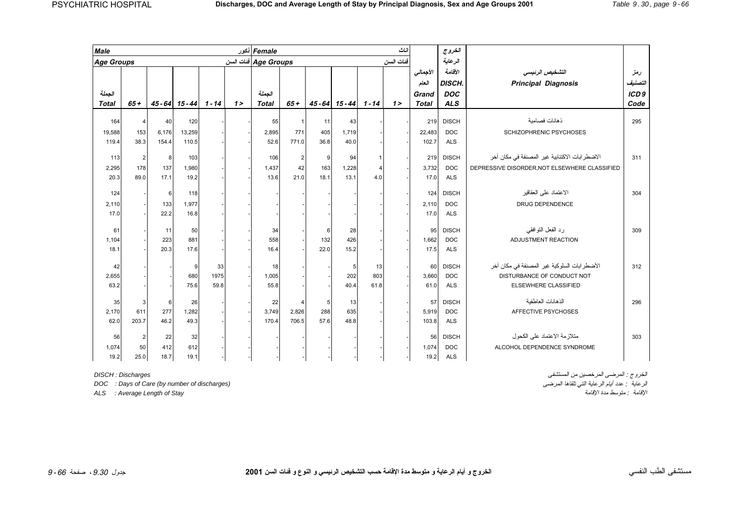<span id="page-10-0"></span>

| <b>Male</b>       |                |       |                          |      |         | Female نكور<br>ائناث |              |                  |                              |                |           |              | الغروج        |                                                |                  |
|-------------------|----------------|-------|--------------------------|------|---------|----------------------|--------------|------------------|------------------------------|----------------|-----------|--------------|---------------|------------------------------------------------|------------------|
| <b>Age Groups</b> |                |       |                          |      |         | Age Groups فنات السن |              |                  |                              |                | فئات السن |              | الرعاية       |                                                |                  |
|                   |                |       |                          |      |         |                      |              |                  |                              |                |           | الأجمالى     | الأقامة       | التشخيص الرئيسى                                | رمز              |
|                   |                |       |                          |      |         |                      |              |                  |                              |                |           | العام        | <b>DISCH.</b> | <b>Principal Diagnosis</b>                     | التصنيف          |
| الجملة            |                |       |                          |      |         | الجملة               |              |                  |                              |                |           | Grand        | <b>DOC</b>    |                                                | ICD <sub>9</sub> |
| <b>Total</b>      | $65+$          |       | $45 - 64$ $15 - 44$ 1-14 |      | $1\geq$ | <b>Total</b>         | $65+$        |                  | $45 - 64$ $15 - 44$ $1 - 14$ |                | $1\geq$   | <b>Total</b> | <b>ALS</b>    |                                                | Code             |
| 164               |                | 40    | 120                      |      |         |                      |              |                  | 43                           |                |           | 219          | <b>DISCH</b>  | ذهانات فصامبة                                  | 295              |
|                   | 4              |       |                          |      |         | 55                   | $\mathbf{1}$ | 11               |                              |                |           |              |               |                                                |                  |
| 19,588            | 153            | 6,176 | 13,259                   |      |         | 2,895                | 771          | 405              | 1,719                        |                |           | 22,483       | <b>DOC</b>    | SCHIZOPHRENIC PSYCHOSES                        |                  |
| 119.4             | 38.3           | 154.4 | 110.5                    |      |         | 52.6                 | 771.0        | 36.8             | 40.0                         |                |           | 102.7        | <b>ALS</b>    |                                                |                  |
| 113               | $\overline{2}$ | 8     | 103                      |      |         | 106                  | $\sqrt{2}$   | $\boldsymbol{9}$ | 94                           |                |           | 219          | <b>DISCH</b>  | الاضطر ابات الاكتئابية غير المصنفة في مكان أخر | 311              |
| 2,295             | 178            | 137   | 1.980                    |      |         | 1,437                | 42           | 163              | 1,228                        | $\overline{4}$ |           | 3,732        | <b>DOC</b>    | DEPRESSIVE DISORDER, NOT ELSEWHERE CLASSIFIED  |                  |
| 20.3              | 89.0           | 17.1  | 19.2                     |      |         | 13.6                 | 21.0         | 18.1             | 13.1                         | 4.0            |           | 17.0         | <b>ALS</b>    |                                                |                  |
|                   |                |       |                          |      |         |                      |              |                  |                              |                |           |              |               |                                                |                  |
| 124               |                | 6     | 118                      |      |         |                      |              |                  |                              |                |           | 124          | <b>DISCH</b>  | الاعتماد على العقاقير                          | 304              |
| 2,110             |                | 133   | 1,977                    |      |         |                      |              |                  |                              |                |           | 2,110        | <b>DOC</b>    | <b>DRUG DEPENDENCE</b>                         |                  |
| 17.0              |                | 22.2  | 16.8                     |      |         |                      |              |                  |                              |                |           | 17.0         | <b>ALS</b>    |                                                |                  |
| 61                |                | 11    | 50                       |      |         | 34                   |              | 6                | 28                           |                |           | 95           | <b>DISCH</b>  | رد الفعل التوافقي                              | 309              |
| 1,104             |                | 223   | 881                      |      |         | 558                  |              | 132              | 426                          |                |           | 1.662        | <b>DOC</b>    | ADJUSTMENT REACTION                            |                  |
| 18.1              |                | 20.3  | 17.6                     |      |         | 16.4                 |              | 22.0             | 15.2                         |                |           | 17.5         | <b>ALS</b>    |                                                |                  |
|                   |                |       |                          |      |         |                      |              |                  |                              |                |           |              |               |                                                |                  |
| 42                |                |       | 9                        | 33   |         | 18                   |              |                  | 5                            | 13             |           | 60           | <b>DISCH</b>  | الأضطر ابات السلوكية غير المصنفة في مكان آخر   | 312              |
| 2,655             |                |       | 680                      | 1975 |         | 1,005                |              |                  | 202                          | 803            |           | 3,660        | <b>DOC</b>    | DISTURBANCE OF CONDUCT NOT                     |                  |
| 63.2              |                |       | 75.6                     | 59.8 |         | 55.8                 |              |                  | 40.4                         | 61.8           |           | 61.0         | <b>ALS</b>    | ELSEWHERE CLASSIFIED                           |                  |
| 35                | $\mathbf{3}$   | 6     | 26                       |      |         | 22                   | 4            | 5                | 13                           |                |           | 57           | <b>DISCH</b>  | الذهانات العاطفية                              | 296              |
| 2,170             | 611            | 277   | 1,282                    |      |         | 3,749                | 2,826        | 288              | 635                          |                |           | 5,919        | <b>DOC</b>    | AFFECTIVE PSYCHOSES                            |                  |
| 62.0              | 203.7          | 46.2  | 49.3                     |      |         | 170.4                | 706.5        | 57.6             | 48.8                         |                |           | 103.8        | <b>ALS</b>    |                                                |                  |
|                   |                |       |                          |      |         |                      |              |                  |                              |                |           |              |               |                                                |                  |
| 56                | $\overline{2}$ | 22    | 32                       |      |         |                      |              |                  |                              |                |           | 56           | <b>DISCH</b>  | متلاز مة الاعتماد على الكحول                   | 303              |
| 1,074             | 50             | 412   | 612                      |      |         |                      |              |                  |                              |                |           | 1,074        | <b>DOC</b>    | ALCOHOL DEPENDENCE SYNDROME                    |                  |
| 19.2              | 25.0           | 18.7  | 19.1                     |      |         |                      |              |                  |                              |                |           | 19.2         | <b>ALS</b>    |                                                |                  |

*DOC* : Days of Care (by number of discharges)

الخروج : المرضى المرخصين من المستشفى *Discharges : DISCH ALS : Average Length of Stay* الإقامة مدة متوسط : الإقامة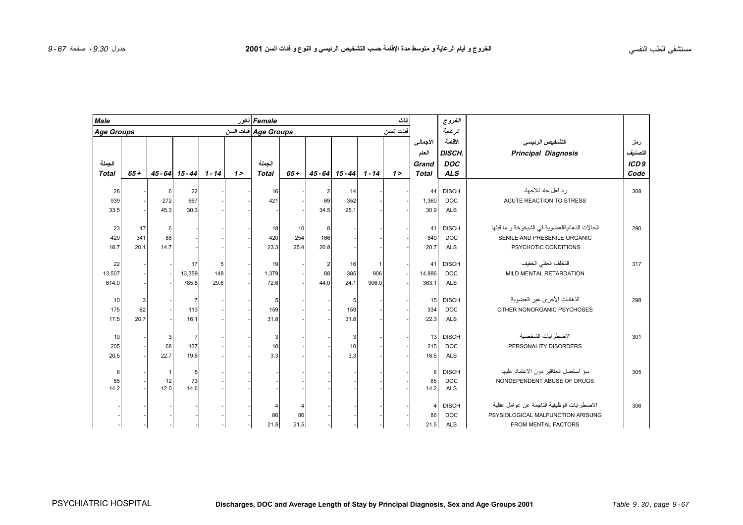| <b>Male</b>       |       |              |                              |      |         | Female نكور          |       |                |                   |          | ناث       |                | الغروج        |                                                |                  |
|-------------------|-------|--------------|------------------------------|------|---------|----------------------|-------|----------------|-------------------|----------|-----------|----------------|---------------|------------------------------------------------|------------------|
| <b>Age Groups</b> |       |              |                              |      |         | Age Groups فنات السن |       |                |                   |          | فئات السن |                | الرعاية       |                                                |                  |
|                   |       |              |                              |      |         |                      |       |                |                   |          |           | الأجمالى       | الأقلصة       | التشخيص الرئيسى                                | رمز              |
|                   |       |              |                              |      |         |                      |       |                |                   |          |           | العام          | <b>DISCH.</b> | <b>Principal Diagnosis</b>                     | لتصنيف           |
| الجملة            |       |              |                              |      |         | الجملة               |       |                |                   |          |           | Grand          | <b>DOC</b>    |                                                | ICD <sub>9</sub> |
| <b>Total</b>      | $65+$ |              | $45 - 64$ $15 - 44$ $1 - 14$ |      | $1\geq$ | <b>Total</b>         | $65+$ |                | $45 - 64$ 15 - 44 | $1 - 14$ | $1\geq$   | <b>Total</b>   | <b>ALS</b>    |                                                | Code             |
|                   |       |              |                              |      |         |                      |       |                |                   |          |           |                |               |                                                |                  |
| 28                |       | 6            | 22                           |      |         | 16                   |       | 2              | 14                |          |           | 44             | <b>DISCH</b>  | ر د فعل حاد للاجهاد                            | 308              |
| 939               |       | 272          | 667                          |      |         | 421                  |       | 69             | 352               |          |           | 1,360          | <b>DOC</b>    | ACUTE REACTION TO STRESS                       |                  |
| 33.5              |       | 45.3         | 30.3                         |      |         |                      |       | 34.5           | 25.1              |          |           | 30.9           | <b>ALS</b>    |                                                |                  |
| 23                | 17    | 6            |                              |      |         | 18                   | 10    | 8              |                   |          |           | 41             | <b>DISCH</b>  | الحالات الذهانيةالعضوية في الشيخوخة و ما قبلها | 290              |
| 429               | 341   | 88           |                              |      |         | 420                  | 254   | 166            |                   |          |           | 849            | <b>DOC</b>    | SENILE AND PRESENILE ORGANIC                   |                  |
| 18.7              | 20.1  | 14.7         |                              |      |         | 23.3                 | 25.4  | 20.8           |                   |          |           | 20.7           | <b>ALS</b>    | PSYCHOTIC CONDITIONS                           |                  |
| 22                |       |              | 17                           | 5    |         | 19                   |       | $\overline{2}$ | 16                | -1       |           | 41             | <b>DISCH</b>  | التخلف العقلى الخفيف                           | 317              |
| 13,507            |       |              | 13,359                       | 148  |         | 1,379                |       | 88             | 385               | 906      |           | 14,886         | <b>DOC</b>    | MILD MENTAL RETARDATION                        |                  |
| 614.0             |       |              |                              | 29.6 |         | 72.6                 |       | 44.0           | 24.1              | 906.0    |           | 363.1          | <b>ALS</b>    |                                                |                  |
|                   |       |              | 785.8                        |      |         |                      |       |                |                   |          |           |                |               |                                                |                  |
| 10                | 3     |              | $\overline{7}$               |      |         | 5                    |       |                | 5                 |          |           | 15             | <b>DISCH</b>  | الذهانات الأخرى غير العضوية                    | 298              |
| 175               | 62    |              | 113                          |      |         | 159                  |       |                | 159               |          |           | 334            | <b>DOC</b>    | OTHER NONORGANIC PSYCHOSES                     |                  |
| 17.5              | 20.7  |              | 16.1                         |      |         | 31.8                 |       |                | 31.8              |          |           | 22.3           | <b>ALS</b>    |                                                |                  |
| 10                |       | $\mathbf{3}$ | $\overline{7}$               |      |         | 3                    |       |                | 3                 |          |           | 13             | <b>DISCH</b>  | الإضطرابات الشخصية                             | 301              |
| 205               |       | 68           | 137                          |      |         | 10                   |       |                | 10                |          |           | 215            | <b>DOC</b>    | PERSONALITY DISORDERS                          |                  |
| 20.5              |       | 22.7         | 19.6                         |      |         | 3.3                  |       |                | 3.3               |          |           | 16.5           | <b>ALS</b>    |                                                |                  |
|                   |       |              |                              |      |         |                      |       |                |                   |          |           |                |               |                                                |                  |
| 6                 |       | $\mathbf 1$  | 5                            |      |         |                      |       |                |                   |          |           | 6              | <b>DISCH</b>  | سؤ استعمال العقاقير دون الاعتماد عليها         | 305              |
| 85                |       | 12           | 73                           |      |         |                      |       |                |                   |          |           | 85             | <b>DOC</b>    | NONDEPENDENT ABUSE OF DRUGS                    |                  |
| 14.2              |       | 12.0         | 14.6                         |      |         |                      |       |                |                   |          |           | 14.2           | <b>ALS</b>    |                                                |                  |
|                   |       |              |                              |      |         | Δ                    |       |                |                   |          |           | $\overline{4}$ | <b>DISCH</b>  | الاضطر ابات الوظيفية الناجمة عن عوامل عقلية    | 306              |
|                   |       |              |                              |      |         | 86                   | 86    |                |                   |          |           | 86             | <b>DOC</b>    | PSYSIOLOGICAL MALFUNCTION ARISUNG              |                  |
|                   |       |              |                              |      |         | 21.5                 | 21.5  |                |                   |          |           | 21.5           | <b>ALS</b>    | FROM MENTAL FACTORS                            |                  |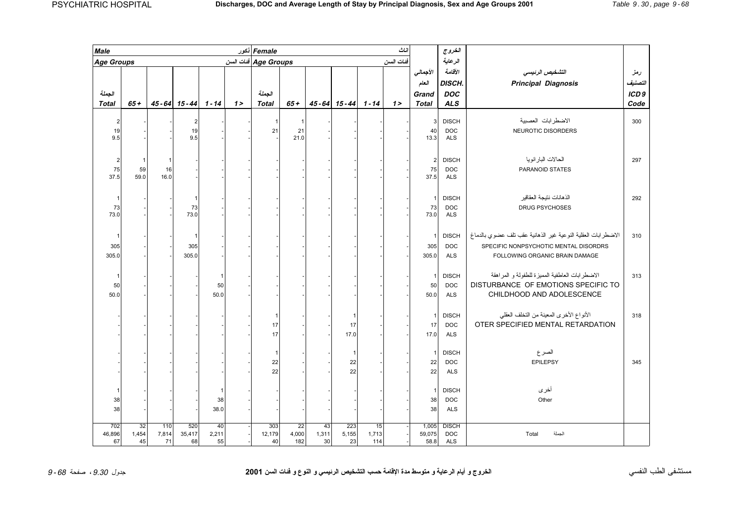| Male                    |        |       |                              |       |         | Female نكور          |             |       |                          |       | اناث           |                      | الغروج                     |                                                               |                  |
|-------------------------|--------|-------|------------------------------|-------|---------|----------------------|-------------|-------|--------------------------|-------|----------------|----------------------|----------------------------|---------------------------------------------------------------|------------------|
| <b>Age Groups</b>       |        |       |                              |       |         | Age Groups فئات السن |             |       |                          |       | فئات السن      |                      | الرعاية                    |                                                               |                  |
|                         |        |       |                              |       |         |                      |             |       |                          |       |                | الأجمالى             | الأقلصة                    | التشخيص الرئيسى                                               | رمز              |
|                         |        |       |                              |       |         |                      |             |       |                          |       |                | العام                | <b>DISCH</b>               | <b>Principal Diagnosis</b>                                    | التصنيف          |
| الجملة                  |        |       |                              |       |         | الجملة               |             |       |                          |       |                | Grand                | <b>DOC</b>                 |                                                               | ICD <sub>9</sub> |
| <b>Total</b>            | $65 +$ |       | $45 - 64$ $15 - 44$ $1 - 14$ |       | $1\geq$ | <b>Total</b>         | $65 +$      |       | $45 - 64$ 15 - 44 1 - 14 |       | 1 <sub>2</sub> | <b>Total</b>         | <b>ALS</b>                 |                                                               | Code             |
|                         |        |       |                              |       |         |                      |             |       |                          |       |                |                      |                            |                                                               |                  |
| $\overline{2}$          |        |       | $\overline{2}$               |       |         | -1                   | $\mathbf 1$ |       |                          |       |                | $\mathbf{3}$         | <b>DISCH</b>               | الاضطرابات العصبية                                            | 300              |
| 19<br>9.5               |        |       | 19<br>9.5                    |       |         | 21                   | 21<br>21.0  |       |                          |       |                | 40<br>13.3           | <b>DOC</b><br><b>ALS</b>   | NEUROTIC DISORDERS                                            |                  |
|                         |        |       |                              |       |         |                      |             |       |                          |       |                |                      |                            |                                                               |                  |
|                         |        |       |                              |       |         |                      |             |       |                          |       |                |                      |                            | الحالات البار انويا                                           |                  |
| $\overline{\mathbf{c}}$ | 59     | 16    |                              |       |         |                      |             |       |                          |       |                | $\overline{c}$<br>75 | <b>DISCH</b><br><b>DOC</b> | PARANOID STATES                                               | 297              |
| 75<br>37.5              | 59.0   | 16.0  |                              |       |         |                      |             |       |                          |       |                | 37.5                 | <b>ALS</b>                 |                                                               |                  |
|                         |        |       |                              |       |         |                      |             |       |                          |       |                |                      |                            |                                                               |                  |
|                         |        |       |                              |       |         |                      |             |       |                          |       |                | $\mathbf{1}$         | <b>DISCH</b>               | الذهانات نتيجة العقاقير                                       | 292              |
| 73                      |        |       | 73                           |       |         |                      |             |       |                          |       |                | 73                   | <b>DOC</b>                 | <b>DRUG PSYCHOSES</b>                                         |                  |
| 73.0                    |        |       | 73.0                         |       |         |                      |             |       |                          |       |                | 73.0                 | <b>ALS</b>                 |                                                               |                  |
|                         |        |       |                              |       |         |                      |             |       |                          |       |                |                      |                            |                                                               |                  |
|                         |        |       |                              |       |         |                      |             |       |                          |       |                | $\mathbf{1}$         | <b>DISCH</b>               | الاضطر ابات العقلية النوعية غير الذهانية عقب نلف عضوى بالدماغ | 310              |
| 305                     |        |       | 305                          |       |         |                      |             |       |                          |       |                | 305                  | <b>DOC</b>                 | SPECIFIC NONPSYCHOTIC MENTAL DISORDRS                         |                  |
| 305.0                   |        |       | 305.0                        |       |         |                      |             |       |                          |       |                | 305.0                | <b>ALS</b>                 | FOLLOWING ORGANIC BRAIN DAMAGE                                |                  |
|                         |        |       |                              |       |         |                      |             |       |                          |       |                |                      |                            |                                                               |                  |
|                         |        |       |                              | -1    |         |                      |             |       |                          |       |                | 1                    | <b>DISCH</b>               | الاضطرابات العاطفية المميزة للطفولة و المراهقة                | 313              |
| 50                      |        |       |                              | 50    |         |                      |             |       |                          |       |                | 50                   | <b>DOC</b>                 | DISTURBANCE OF EMOTIONS SPECIFIC TO                           |                  |
| 50.0                    |        |       |                              | 50.0  |         |                      |             |       |                          |       |                | 50.0                 | <b>ALS</b>                 | CHILDHOOD AND ADOLESCENCE                                     |                  |
|                         |        |       |                              |       |         |                      |             |       |                          |       |                |                      |                            |                                                               |                  |
|                         |        |       |                              |       |         |                      |             |       | 1                        |       |                | 1                    | <b>DISCH</b>               | الأنواع الأخرى المعينة من التخلف العقلى                       | 318              |
|                         |        |       |                              |       |         | 17                   |             |       | 17                       |       |                | 17                   | <b>DOC</b>                 | OTER SPECIFIED MENTAL RETARDATION                             |                  |
|                         |        |       |                              |       |         | 17                   |             |       | 17.0                     |       |                | 17.0                 | <b>ALS</b>                 |                                                               |                  |
|                         |        |       |                              |       |         |                      |             |       |                          |       |                |                      |                            |                                                               |                  |
|                         |        |       |                              |       |         | $\mathbf 1$          |             |       | $\overline{\mathbf{1}}$  |       |                | 1                    | <b>DISCH</b>               | الصرع                                                         |                  |
|                         |        |       |                              |       |         | 22                   |             |       | 22                       |       |                | 22                   | <b>DOC</b>                 | <b>EPILEPSY</b>                                               | 345              |
|                         |        |       |                              |       |         | 22                   |             |       | 22                       |       |                | 22                   | <b>ALS</b>                 |                                                               |                  |
|                         |        |       |                              |       |         |                      |             |       |                          |       |                |                      |                            |                                                               |                  |
|                         |        |       |                              | -1    |         |                      |             |       |                          |       |                | 1                    | <b>DISCH</b>               | أخرى                                                          |                  |
| 38                      |        |       |                              | 38    |         |                      |             |       |                          |       |                | 38                   | <b>DOC</b>                 | Other                                                         |                  |
| 38                      |        |       |                              | 38.0  |         |                      |             |       |                          |       |                | 38                   | <b>ALS</b>                 |                                                               |                  |
| 702                     | 32     | 110   | 520                          | 40    |         | 303                  | 22          | 43    | 223                      | 15    |                | 1,005                | <b>DISCH</b>               |                                                               |                  |
| 46,896                  | 1,454  | 7,814 | 35,417                       | 2,211 |         | 12,179               | 4,000       | 1,311 | 5,155                    | 1,713 |                | 59,075               | <b>DOC</b>                 | الجملة<br>Total                                               |                  |
| 67                      | 45     | 71    | 68                           | 55    |         | 40                   | 182         | 30    | 23                       | 114   |                | 58.8                 | <b>ALS</b>                 |                                                               |                  |